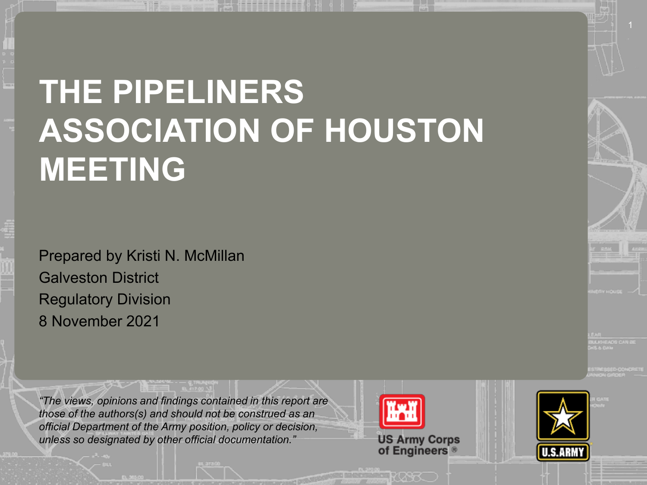#### 217 <u>17</u> 200 200 1135 UUNA 237 237 80 25 174 **ASSOCIATION OF HOUSTON THE PIPELINERS MEETING**

Prepared by Kristi N. McMillan Galveston District Regulatory Division 8 November 2021

*"The views, opinions and findings contained in this report are those of the authors(s) and should not be construed as an official Department of the Army position, policy or decision, unless so designated by other official documentation."*

**US Army Corps<br>of Engineers** 

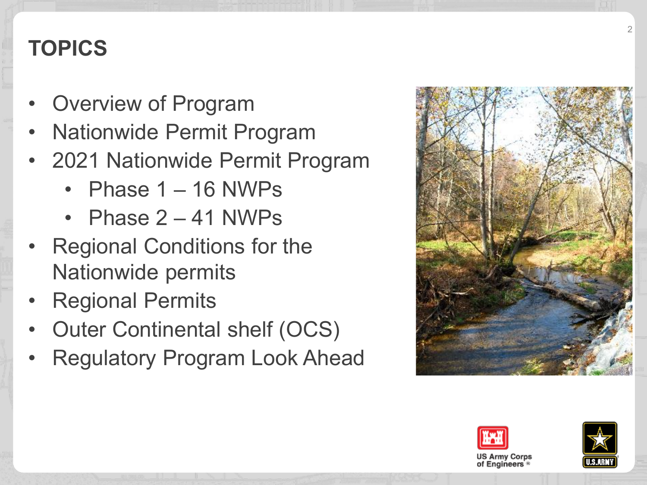# **TOPICS**

- Overview of Program
- Nationwide Permit Program
- 2021 Nationwide Permit Program
	- Phase  $1 16$  NWPs
	- Phase 2 41 NWPs
- Regional Conditions for the Nationwide permits
- Regional Permits
- Outer Continental shelf (OCS)
- Regulatory Program Look Ahead





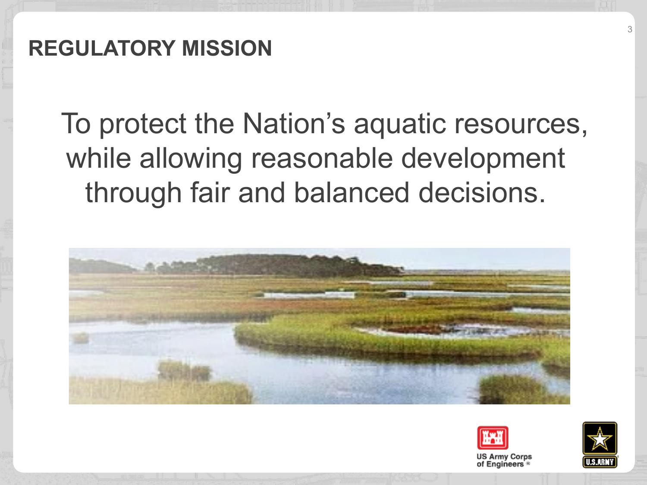To protect the Nation's aquatic resources, while allowing reasonable development through fair and balanced decisions.





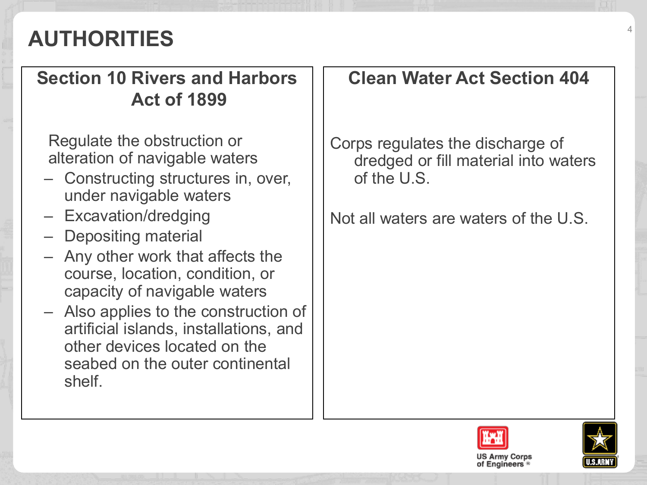# **AUTHORITIES** <sup>4</sup>

#### **Section 10 Rivers and Harbors Act of 1899**

Regulate the obstruction or alteration of navigable waters

- Constructing structures in, over, under navigable waters
- Excavation/dredging
- Depositing material
- Any other work that affects the course, location, condition, or capacity of navigable waters
- Also applies to the construction of artificial islands, installations, and other devices located on the seabed on the outer continental shelf.

#### **Clean Water Act Section 404**

Corps regulates the discharge of dredged or fill material into waters of the U.S.

Not all waters are waters of the U.S.



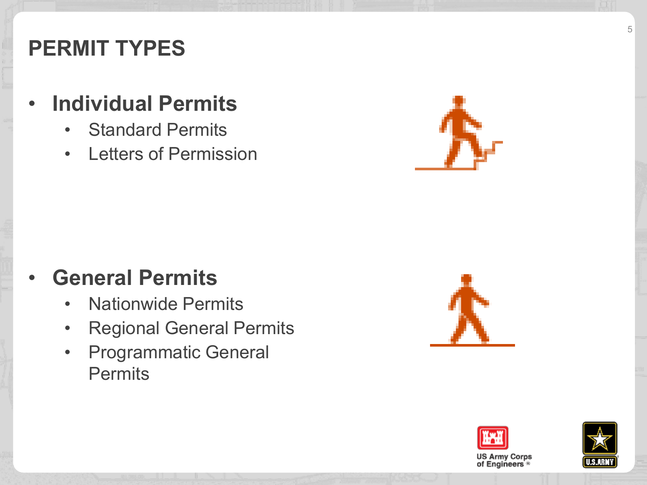### **PERMIT TYPES**

#### • **Individual Permits**

- Standard Permits
- Letters of Permission

## • **General Permits**

- Nationwide Permits
- Regional General Permits
- Programmatic General **Permits**





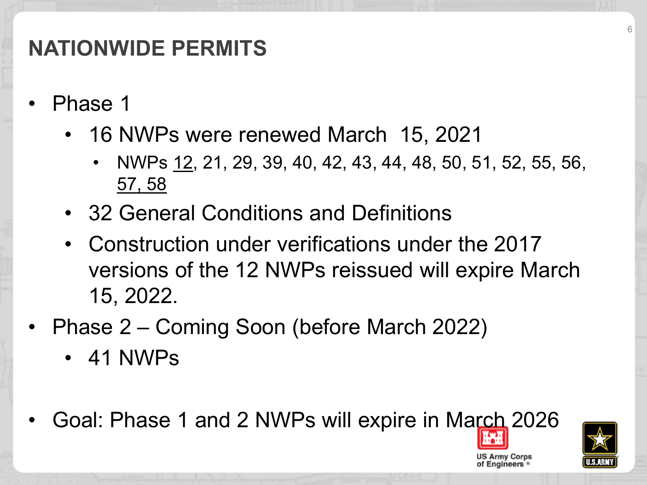# **NATIONWIDE PERMITS**

- Phase 1
	- 16 NWPs were renewed March 15, 2021
		- NWPs 12, 21, 29, 39, 40, 42, 43, 44, 48, 50, 51, 52, 55, 56, 57, 58
	- 32 General Conditions and Definitions
	- Construction under verifications under the 2017 versions of the 12 NWPs reissued will expire March 15, 2022.
- Phase 2 Coming Soon (before March 2022)
	- 41 NWPs
- Goal: Phase 1 and 2 NWPs will expire in March 2026

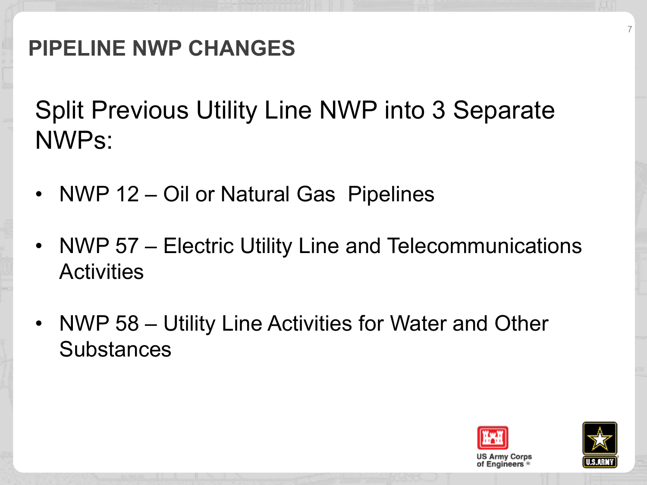# **PIPELINE NWP CHANGES**

Split Previous Utility Line NWP into 3 Separate NWPs:

- NWP 12 Oil or Natural Gas Pipelines
- NWP 57 Electric Utility Line and Telecommunications **Activities**
- NWP 58 Utility Line Activities for Water and Other **Substances**



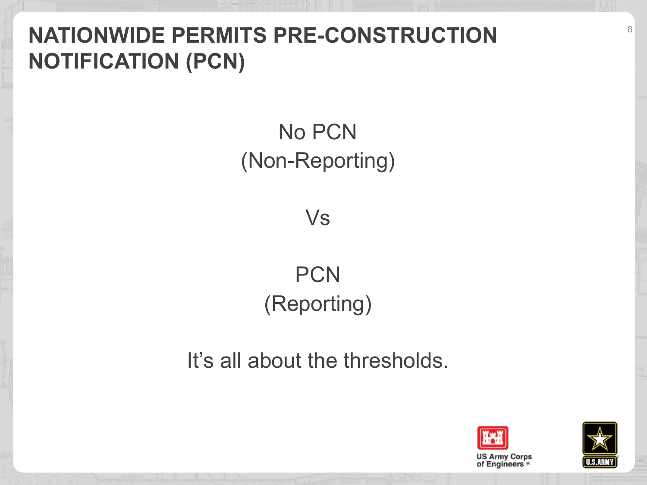# **NATIONWIDE PERMITS PRE-CONSTRUCTION NOTIFICATION (PCN)**

# No PCN (Non-Reporting)

Vs

# **PCN** (Reporting)

It's all about the thresholds.



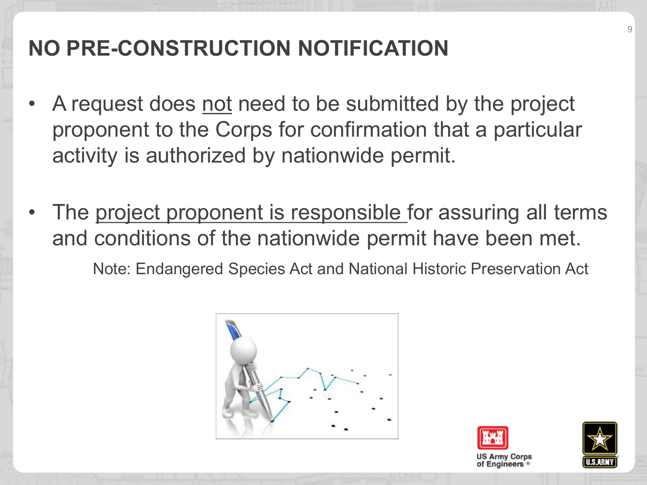# **NO PRE-CONSTRUCTION NOTIFICATION**

- A request does not need to be submitted by the project proponent to the Corps for confirmation that a particular activity is authorized by nationwide permit.
- The project proponent is responsible for assuring all terms and conditions of the nationwide permit have been met. Note: Endangered Species Act and National Historic Preservation Act





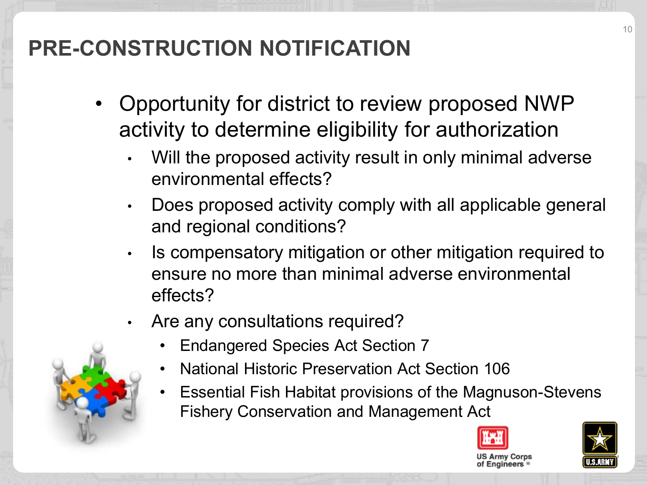# **PRE-CONSTRUCTION NOTIFICATION**

- Opportunity for district to review proposed NWP activity to determine eligibility for authorization
	- Will the proposed activity result in only minimal adverse environmental effects?
	- Does proposed activity comply with all applicable general and regional conditions?
	- Is compensatory mitigation or other mitigation required to ensure no more than minimal adverse environmental effects?
	- Are any consultations required?
		- Endangered Species Act Section 7
		- National Historic Preservation Act Section 106
		- Essential Fish Habitat provisions of the Magnuson-Stevens Fishery Conservation and Management Act







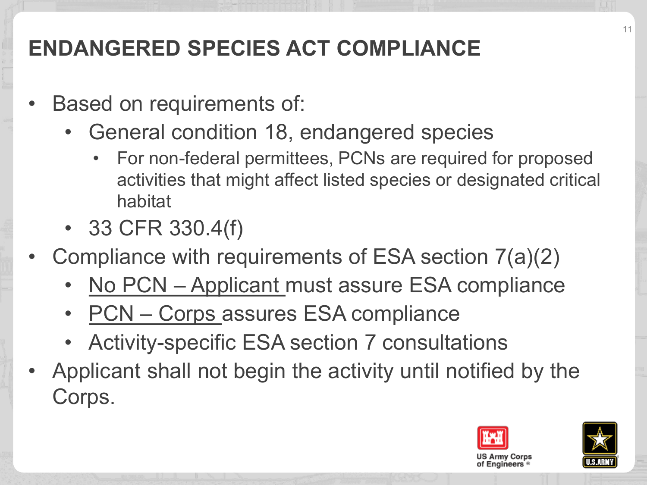# **ENDANGERED SPECIES ACT COMPLIANCE**

- Based on requirements of:
	- General condition 18, endangered species
		- For non-federal permittees, PCNs are required for proposed activities that might affect listed species or designated critical habitat
	- 33 CFR 330.4(f)
- Compliance with requirements of ESA section 7(a)(2)
	- No PCN Applicant must assure ESA compliance
	- PCN Corps assures ESA compliance
	- Activity-specific ESA section 7 consultations
- Applicant shall not begin the activity until notified by the Corps.



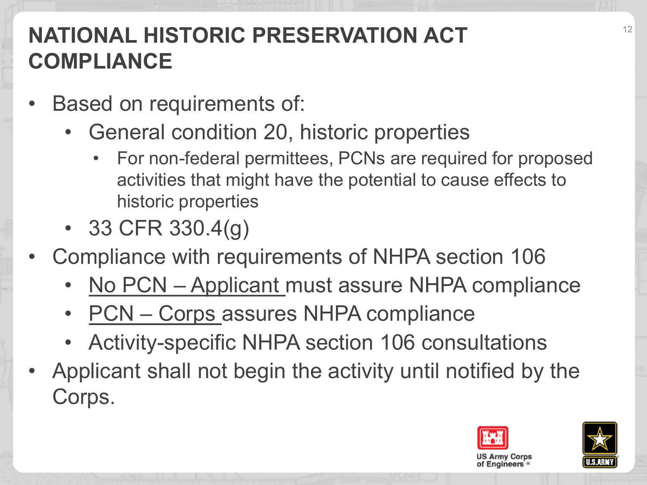# **NATIONAL HISTORIC PRESERVATION ACT COMPLIANCE**

- Based on requirements of:
	- General condition 20, historic properties
		- For non-federal permittees, PCNs are required for proposed activities that might have the potential to cause effects to historic properties
	- 33 CFR 330.4 $(g)$
- Compliance with requirements of NHPA section 106
	- No PCN Applicant must assure NHPA compliance
	- PCN Corps assures NHPA compliance
	- Activity-specific NHPA section 106 consultations
- Applicant shall not begin the activity until notified by the Corps.



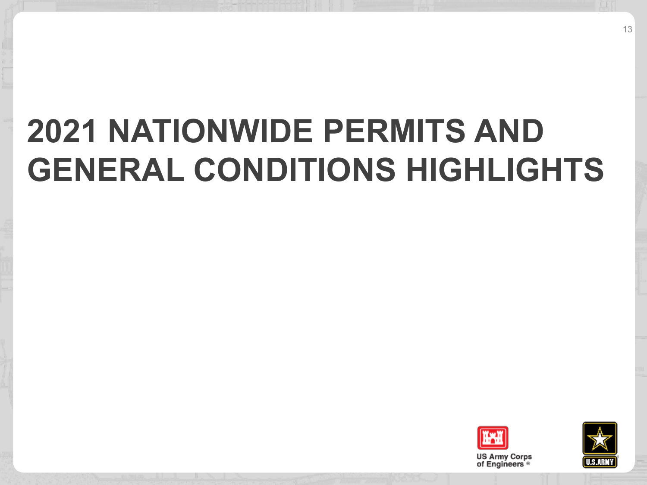# **2021 NATIONWIDE PERMITS AND GENERAL CONDITIONS HIGHLIGHTS**



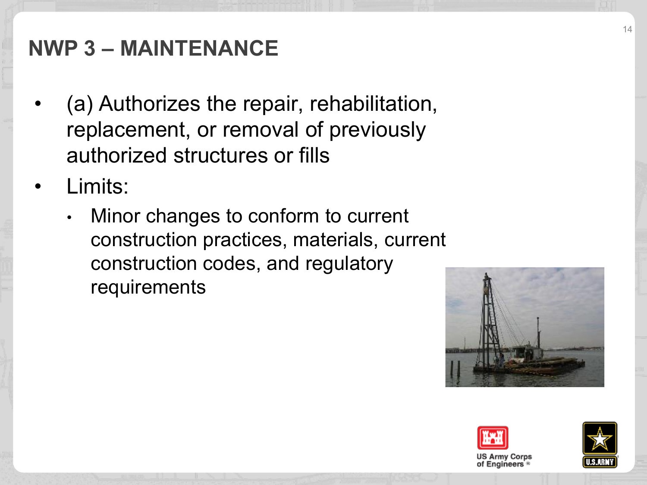## **NWP 3 – MAINTENANCE**

- (a) Authorizes the repair, rehabilitation, replacement, or removal of previously authorized structures or fills
- Limits:
	- Minor changes to conform to current construction practices, materials, current construction codes, and regulatory requirements





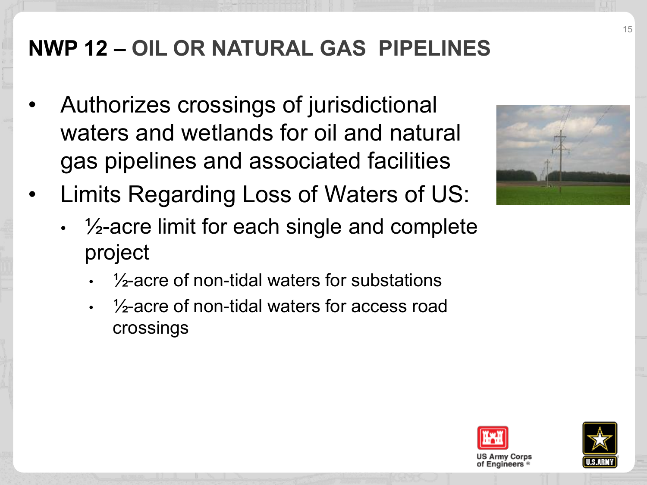# **NWP 12 – OIL OR NATURAL GAS PIPELINES**

- Authorizes crossings of jurisdictional waters and wetlands for oil and natural gas pipelines and associated facilities
- Limits Regarding Loss of Waters of US:



- $\cdot$   $\frac{1}{2}$ -acre limit for each single and complete project
	- $\cdot$   $\frac{1}{2}$ -acre of non-tidal waters for substations
	- ½-acre of non-tidal waters for access road crossings



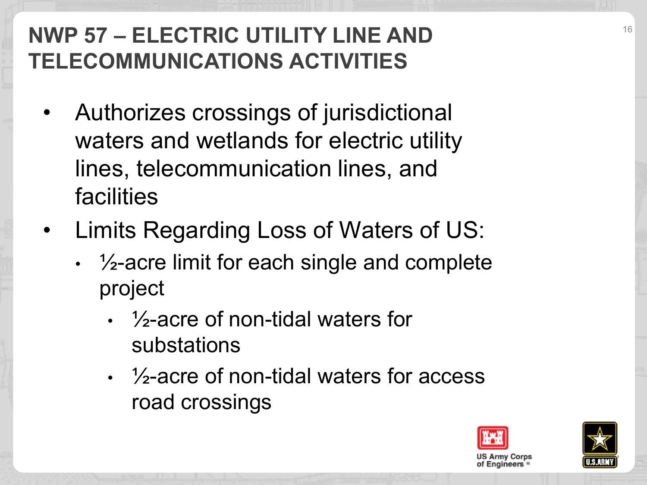# **NWP 57 – ELECTRIC UTILITY LINE AND TELECOMMUNICATIONS ACTIVITIES**

- Authorizes crossings of jurisdictional waters and wetlands for electric utility lines, telecommunication lines, and facilities
- Limits Regarding Loss of Waters of US:
	- $\cdot$   $\frac{1}{2}$ -acre limit for each single and complete project
		- ½-acre of non-tidal waters for substations
		- ½-acre of non-tidal waters for access road crossings



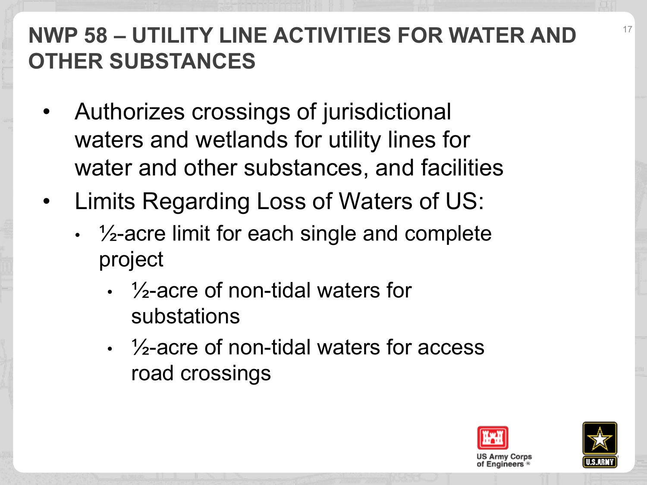# **NWP 58 – UTILITY LINE ACTIVITIES FOR WATER AND OTHER SUBSTANCES**

- Authorizes crossings of jurisdictional waters and wetlands for utility lines for water and other substances, and facilities
- Limits Regarding Loss of Waters of US:
	- $\cdot$   $\frac{1}{2}$ -acre limit for each single and complete project
		- ½-acre of non-tidal waters for substations
		- $\frac{1}{2}$ -acre of non-tidal waters for access road crossings



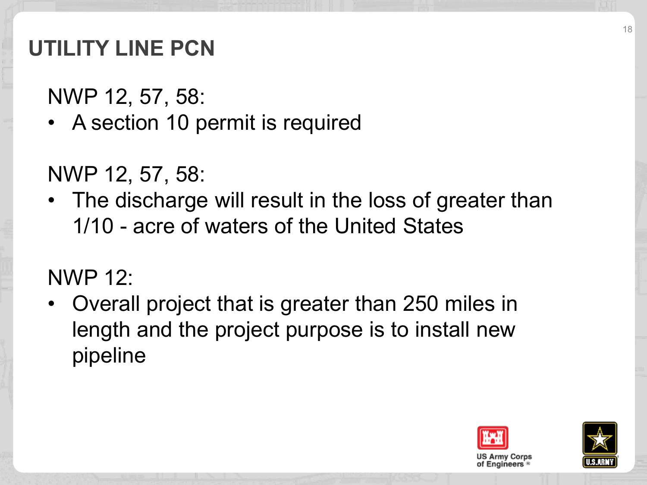# **UTILITY LINE PCN**

NWP 12, 57, 58:

• A section 10 permit is required

NWP 12, 57, 58:

• The discharge will result in the loss of greater than 1/10 - acre of waters of the United States

#### NWP 12:

• Overall project that is greater than 250 miles in length and the project purpose is to install new pipeline



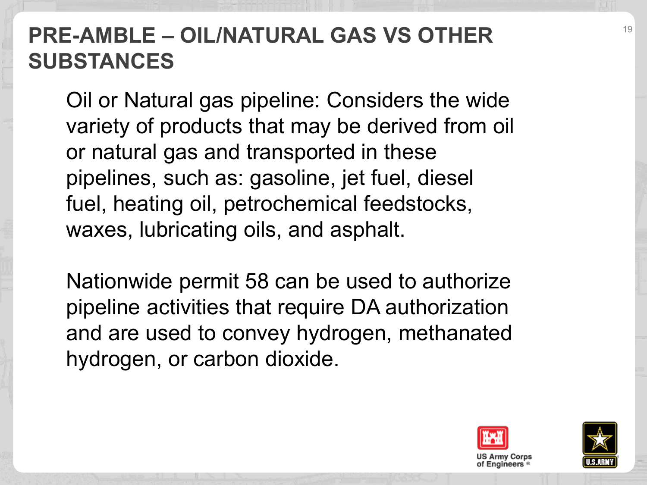## **PRE-AMBLE – OIL/NATURAL GAS VS OTHER SUBSTANCES**

Oil or Natural gas pipeline: Considers the wide variety of products that may be derived from oil or natural gas and transported in these pipelines, such as: gasoline, jet fuel, diesel fuel, heating oil, petrochemical feedstocks, waxes, lubricating oils, and asphalt.

Nationwide permit 58 can be used to authorize pipeline activities that require DA authorization and are used to convey hydrogen, methanated hydrogen, or carbon dioxide.



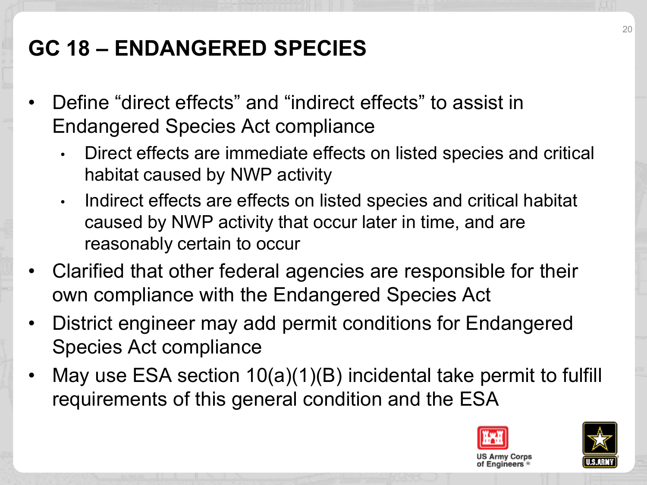# **GC 18 – ENDANGERED SPECIES**

- Define "direct effects" and "indirect effects" to assist in Endangered Species Act compliance
	- Direct effects are immediate effects on listed species and critical habitat caused by NWP activity
	- Indirect effects are effects on listed species and critical habitat caused by NWP activity that occur later in time, and are reasonably certain to occur
- Clarified that other federal agencies are responsible for their own compliance with the Endangered Species Act
- District engineer may add permit conditions for Endangered Species Act compliance
- May use ESA section 10(a)(1)(B) incidental take permit to fulfill requirements of this general condition and the ESA



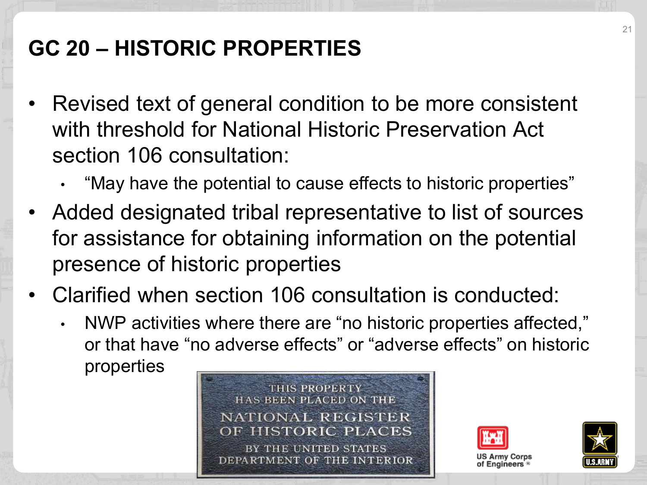# **GC 20 – HISTORIC PROPERTIES**

- Revised text of general condition to be more consistent with threshold for National Historic Preservation Act section 106 consultation:
	- "May have the potential to cause effects to historic properties"
- Added designated tribal representative to list of sources for assistance for obtaining information on the potential presence of historic properties
- Clarified when section 106 consultation is conducted:
	- NWP activities where there are "no historic properties affected," or that have "no adverse effects" or "adverse effects" on historic properties





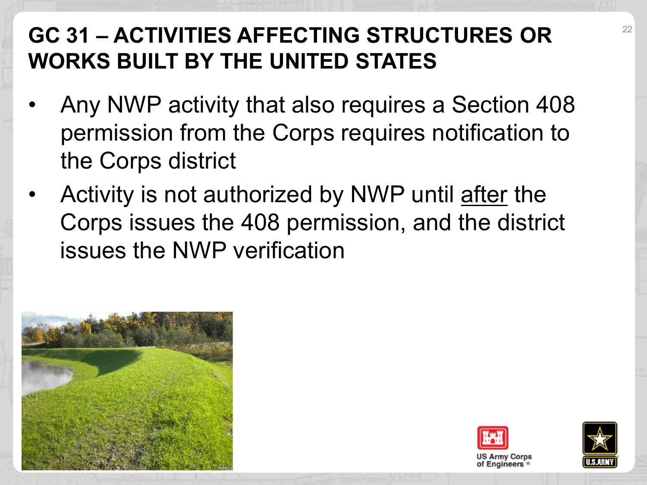# **GC 31 – ACTIVITIES AFFECTING STRUCTURES OR WORKS BUILT BY THE UNITED STATES**

- Any NWP activity that also requires a Section 408 permission from the Corps requires notification to the Corps district
- Activity is not authorized by NWP until after the Corps issues the 408 permission, and the district issues the NWP verification





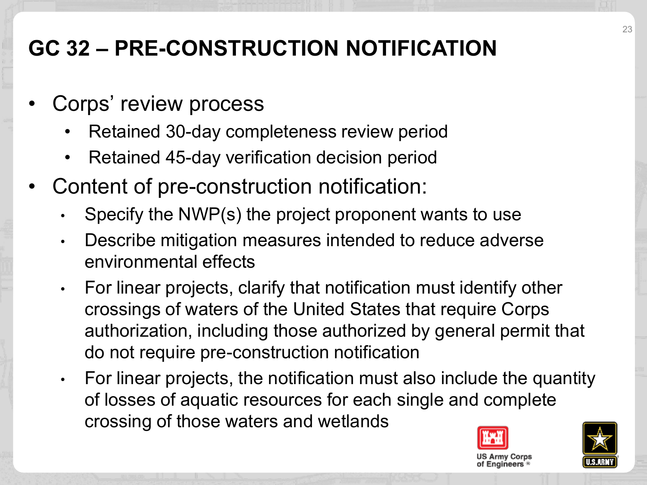# **GC 32 – PRE-CONSTRUCTION NOTIFICATION**

- Corps' review process
	- Retained 30-day completeness review period
	- Retained 45-day verification decision period
- Content of pre-construction notification:
	- Specify the NWP(s) the project proponent wants to use
	- Describe mitigation measures intended to reduce adverse environmental effects
	- For linear projects, clarify that notification must identify other crossings of waters of the United States that require Corps authorization, including those authorized by general permit that do not require pre-construction notification
	- For linear projects, the notification must also include the quantity of losses of aquatic resources for each single and complete crossing of those waters and wetlands



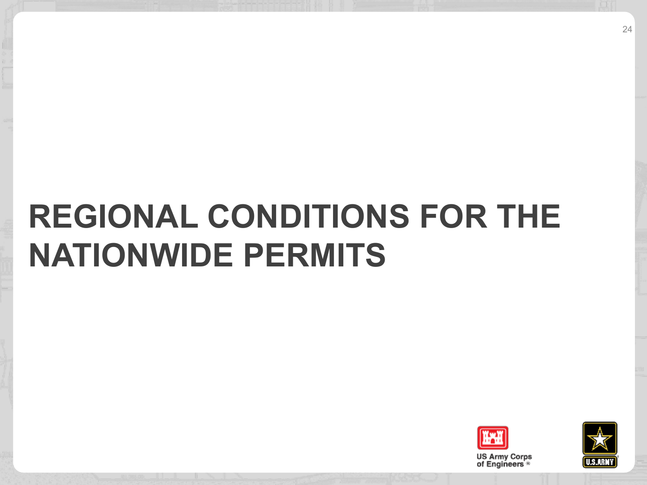# **REGIONAL CONDITIONS FOR THE NATIONWIDE PERMITS**



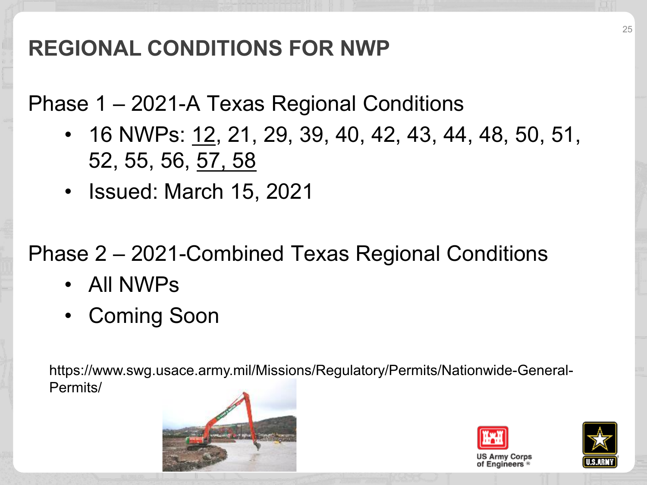# **REGIONAL CONDITIONS FOR NWP**

Phase 1 – 2021-A Texas Regional Conditions

- 16 NWPs: 12, 21, 29, 39, 40, 42, 43, 44, 48, 50, 51, 52, 55, 56, 57, 58
- Issued: March 15, 2021

Phase 2 – 2021-Combined Texas Regional Conditions

- All NWPs
- Coming Soon

https://www.swg.usace.army.mil/Missions/Regulatory/Permits/Nationwide-General-Permits/





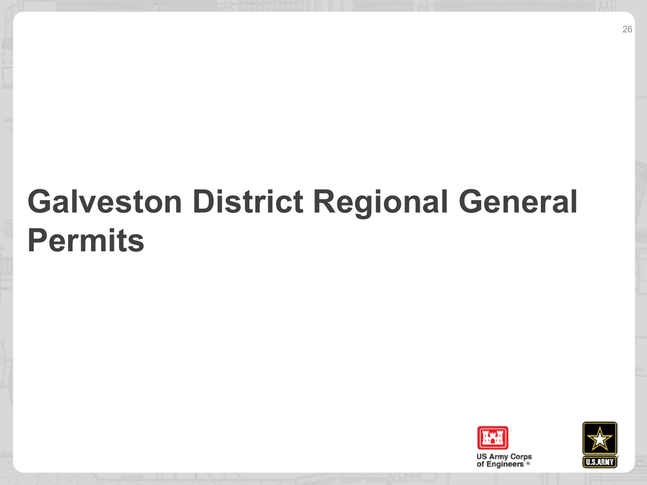# **Galveston District Regional General Permits**



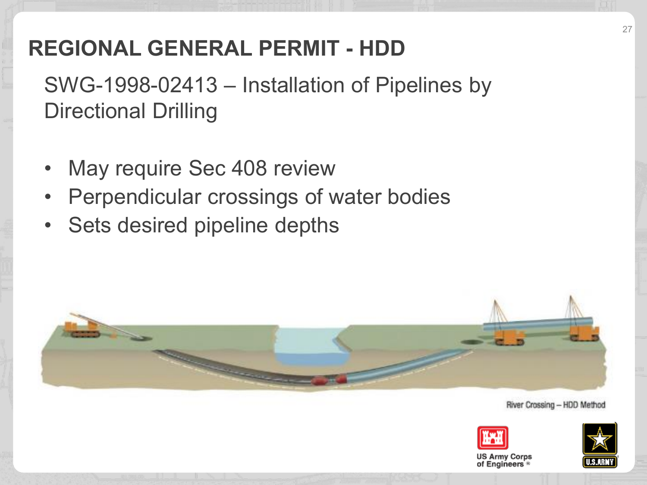# **REGIONAL GENERAL PERMIT - HDD**

SWG-1998-02413 – Installation of Pipelines by Directional Drilling

- May require Sec 408 review
- Perpendicular crossings of water bodies
- Sets desired pipeline depths



River Crossing - HDD Method





US Army Corps of Engineers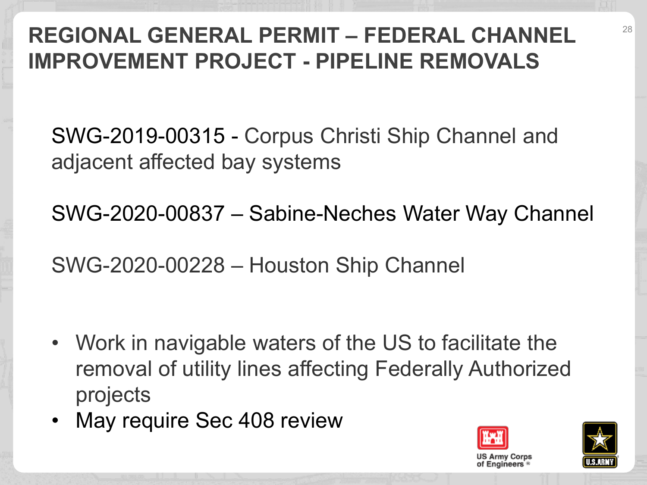# **REGIONAL GENERAL PERMIT – FEDERAL CHANNEL IMPROVEMENT PROJECT - PIPELINE REMOVALS**

SWG-2019-00315 - Corpus Christi Ship Channel and adjacent affected bay systems

SWG-2020-00837 – Sabine-Neches Water Way Channel

SWG-2020-00228 – Houston Ship Channel

- Work in navigable waters of the US to facilitate the removal of utility lines affecting Federally Authorized projects
- May require Sec 408 review



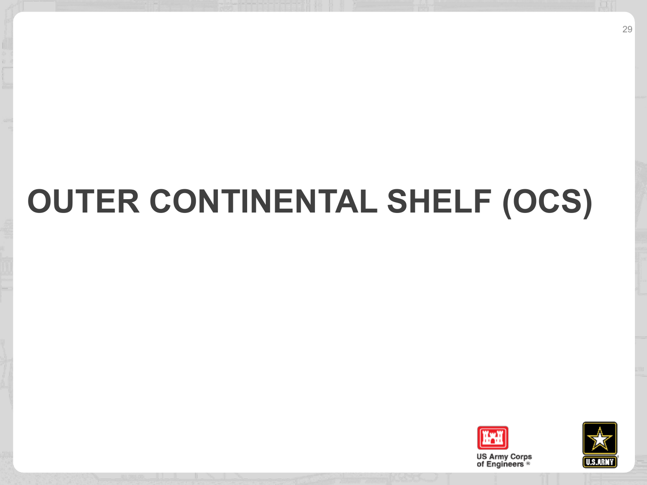# **OUTER CONTINENTAL SHELF (OCS)**



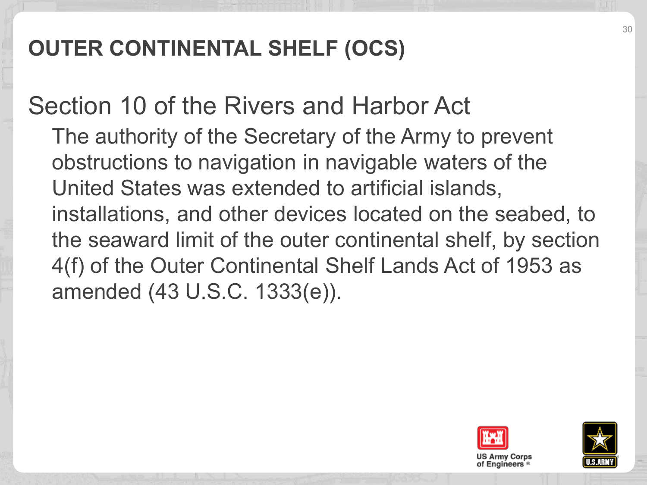# **OUTER CONTINENTAL SHELF (OCS)**

Section 10 of the Rivers and Harbor Act The authority of the Secretary of the Army to prevent obstructions to navigation in navigable waters of the United States was extended to artificial islands, installations, and other devices located on the seabed, to the seaward limit of the outer continental shelf, by section 4(f) of the Outer Continental Shelf Lands Act of 1953 as amended (43 U.S.C. 1333(e)).



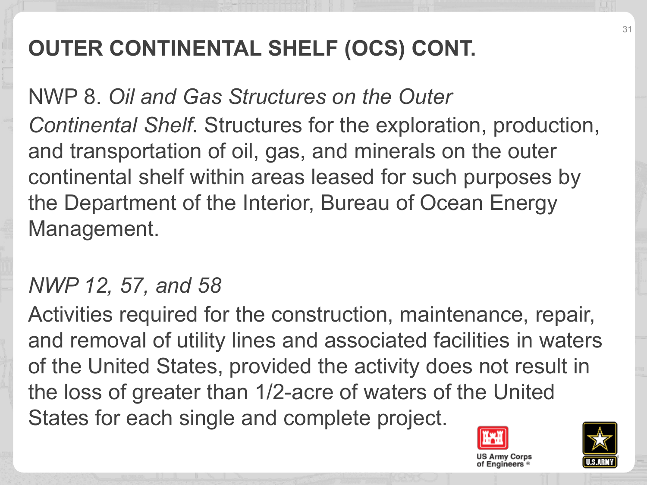# **OUTER CONTINENTAL SHELF (OCS) CONT.**

NWP 8. *Oil and Gas Structures on the Outer Continental Shelf.* Structures for the exploration, production, and transportation of oil, gas, and minerals on the outer continental shelf within areas leased for such purposes by the Department of the Interior, Bureau of Ocean Energy Management.

#### *NWP 12, 57, and 58*

Activities required for the construction, maintenance, repair, and removal of utility lines and associated facilities in waters of the United States, provided the activity does not result in the loss of greater than 1/2-acre of waters of the United States for each single and complete project.



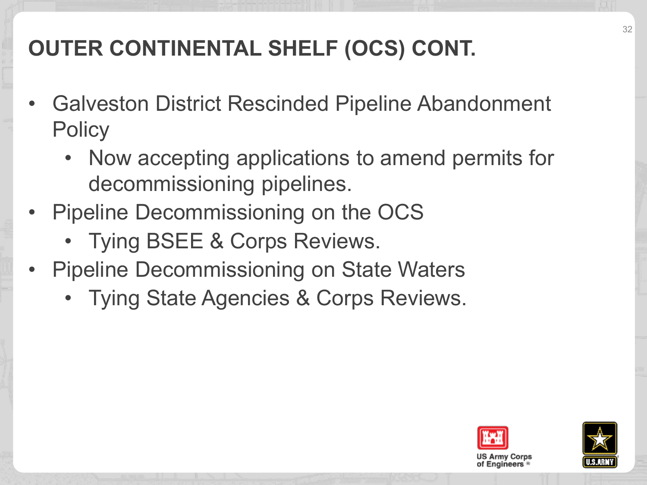# **OUTER CONTINENTAL SHELF (OCS) CONT.**

- Galveston District Rescinded Pipeline Abandonment **Policy** 
	- Now accepting applications to amend permits for decommissioning pipelines.
- Pipeline Decommissioning on the OCS
	- Tying BSEE & Corps Reviews.
- Pipeline Decommissioning on State Waters
	- Tying State Agencies & Corps Reviews.



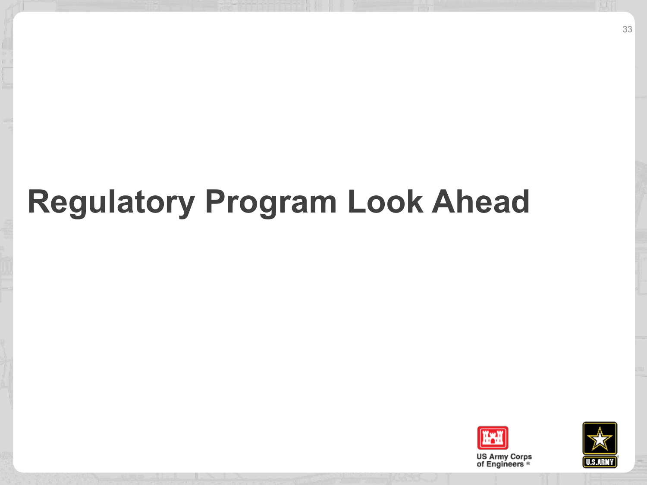# **Regulatory Program Look Ahead**



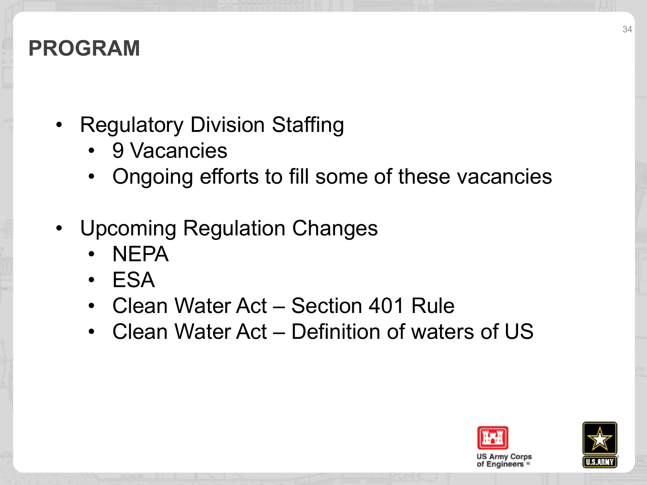## **PROGRAM**

- Regulatory Division Staffing
	- 9 Vacancies
	- Ongoing efforts to fill some of these vacancies
- Upcoming Regulation Changes
	- NEPA
	- ESA
	- Clean Water Act Section 401 Rule
	- Clean Water Act Definition of waters of US



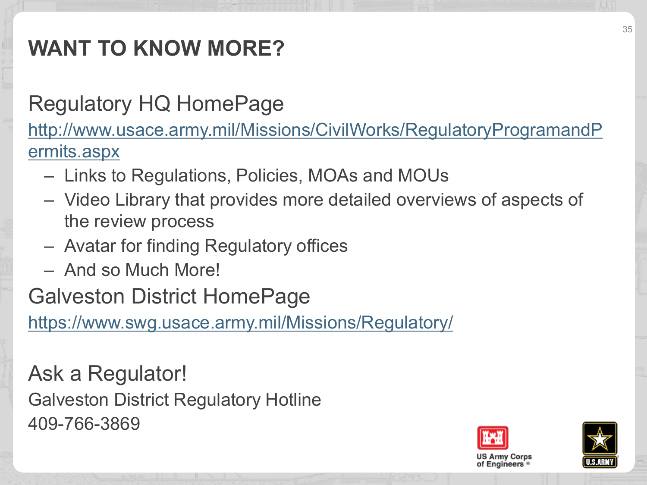# **WANT TO KNOW MORE?**

# Regulatory HQ HomePage

[http://www.usace.army.mil/Missions/CivilWorks/RegulatoryProgramandP](http://www.usace.army.mil/Missions/CivilWorks/RegulatoryProgramandPermits.aspx) ermits.aspx

- Links to Regulations, Policies, MOAs and MOUs
- Video Library that provides more detailed overviews of aspects of the review process
- Avatar for finding Regulatory offices
- And so Much More!

Galveston District HomePage

<https://www.swg.usace.army.mil/Missions/Regulatory/>

Ask a Regulator! Galveston District Regulatory Hotline 409-766-3869